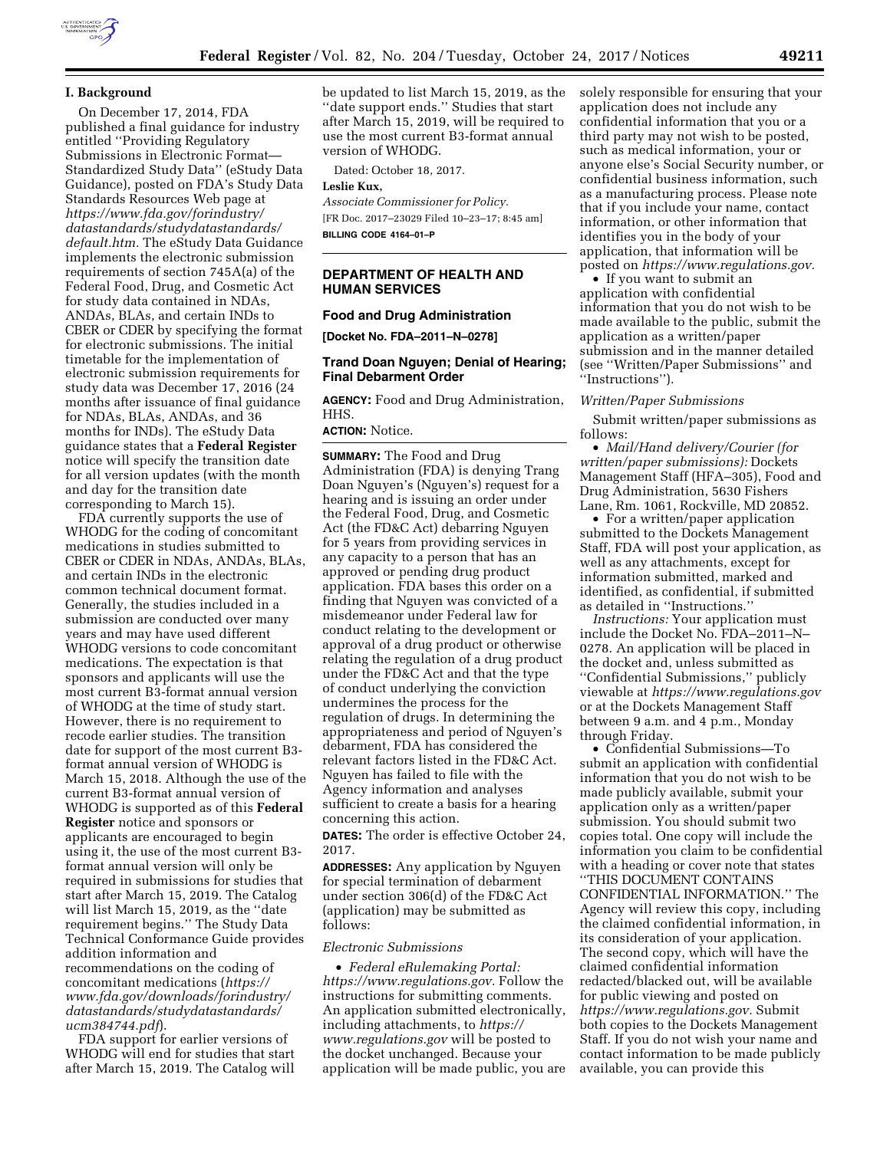

## **I. Background**

On December 17, 2014, FDA published a final guidance for industry entitled ''Providing Regulatory Submissions in Electronic Format— Standardized Study Data'' (eStudy Data Guidance), posted on FDA's Study Data Standards Resources Web page at *[https://www.fda.gov/forindustry/](https://www.fda.gov/forindustry/datastandards/studydatastandards/default.htm)  [datastandards/studydatastandards/](https://www.fda.gov/forindustry/datastandards/studydatastandards/default.htm)  [default.htm.](https://www.fda.gov/forindustry/datastandards/studydatastandards/default.htm)* The eStudy Data Guidance implements the electronic submission requirements of section 745A(a) of the Federal Food, Drug, and Cosmetic Act for study data contained in NDAs, ANDAs, BLAs, and certain INDs to CBER or CDER by specifying the format for electronic submissions. The initial timetable for the implementation of electronic submission requirements for study data was December 17, 2016 (24 months after issuance of final guidance for NDAs, BLAs, ANDAs, and 36 months for INDs). The eStudy Data guidance states that a **Federal Register**  notice will specify the transition date for all version updates (with the month and day for the transition date corresponding to March 15).

FDA currently supports the use of WHODG for the coding of concomitant medications in studies submitted to CBER or CDER in NDAs, ANDAs, BLAs, and certain INDs in the electronic common technical document format. Generally, the studies included in a submission are conducted over many years and may have used different WHODG versions to code concomitant medications. The expectation is that sponsors and applicants will use the most current B3-format annual version of WHODG at the time of study start. However, there is no requirement to recode earlier studies. The transition date for support of the most current B3 format annual version of WHODG is March 15, 2018. Although the use of the current B3-format annual version of WHODG is supported as of this **Federal Register** notice and sponsors or applicants are encouraged to begin using it, the use of the most current B3 format annual version will only be required in submissions for studies that start after March 15, 2019. The Catalog will list March 15, 2019, as the ''date requirement begins.'' The Study Data Technical Conformance Guide provides addition information and recommendations on the coding of concomitant medications (*[https://](https://www.fda.gov/downloads/forindustry/datastandards/studydatastandards/ucm384744.pdf) [www.fda.gov/downloads/forindustry/](https://www.fda.gov/downloads/forindustry/datastandards/studydatastandards/ucm384744.pdf)  [datastandards/studydatastandards/](https://www.fda.gov/downloads/forindustry/datastandards/studydatastandards/ucm384744.pdf)  [ucm384744.pdf](https://www.fda.gov/downloads/forindustry/datastandards/studydatastandards/ucm384744.pdf)*).

FDA support for earlier versions of WHODG will end for studies that start after March 15, 2019. The Catalog will

be updated to list March 15, 2019, as the ''date support ends.'' Studies that start after March 15, 2019, will be required to use the most current B3-format annual version of WHODG.

Dated: October 18, 2017.

**Leslie Kux,** 

*Associate Commissioner for Policy.*  [FR Doc. 2017–23029 Filed 10–23–17; 8:45 am] **BILLING CODE 4164–01–P** 

# **DEPARTMENT OF HEALTH AND HUMAN SERVICES**

#### **Food and Drug Administration**

**[Docket No. FDA–2011–N–0278]** 

### **Trand Doan Nguyen; Denial of Hearing; Final Debarment Order**

**AGENCY:** Food and Drug Administration, HHS.

#### **ACTION:** Notice.

**SUMMARY:** The Food and Drug Administration (FDA) is denying Trang Doan Nguyen's (Nguyen's) request for a hearing and is issuing an order under the Federal Food, Drug, and Cosmetic Act (the FD&C Act) debarring Nguyen for 5 years from providing services in any capacity to a person that has an approved or pending drug product application. FDA bases this order on a finding that Nguyen was convicted of a misdemeanor under Federal law for conduct relating to the development or approval of a drug product or otherwise relating the regulation of a drug product under the FD&C Act and that the type of conduct underlying the conviction undermines the process for the regulation of drugs. In determining the appropriateness and period of Nguyen's debarment, FDA has considered the relevant factors listed in the FD&C Act. Nguyen has failed to file with the Agency information and analyses sufficient to create a basis for a hearing concerning this action.

**DATES:** The order is effective October 24, 2017.

**ADDRESSES:** Any application by Nguyen for special termination of debarment under section 306(d) of the FD&C Act (application) may be submitted as follows:

### *Electronic Submissions*

• *Federal eRulemaking Portal: [https://www.regulations.gov.](https://www.regulations.gov)* Follow the instructions for submitting comments. An application submitted electronically, including attachments, to *[https://](https://www.regulations.gov) [www.regulations.gov](https://www.regulations.gov)* will be posted to the docket unchanged. Because your application will be made public, you are solely responsible for ensuring that your application does not include any confidential information that you or a third party may not wish to be posted, such as medical information, your or anyone else's Social Security number, or confidential business information, such as a manufacturing process. Please note that if you include your name, contact information, or other information that identifies you in the body of your application, that information will be posted on *[https://www.regulations.gov.](https://www.regulations.gov)* 

• If you want to submit an application with confidential information that you do not wish to be made available to the public, submit the application as a written/paper submission and in the manner detailed (see ''Written/Paper Submissions'' and ''Instructions'').

#### *Written/Paper Submissions*

Submit written/paper submissions as follows:

• *Mail/Hand delivery/Courier (for written/paper submissions):* Dockets Management Staff (HFA–305), Food and Drug Administration, 5630 Fishers Lane, Rm. 1061, Rockville, MD 20852.

• For a written/paper application submitted to the Dockets Management Staff, FDA will post your application, as well as any attachments, except for information submitted, marked and identified, as confidential, if submitted as detailed in ''Instructions.''

*Instructions:* Your application must include the Docket No. FDA–2011–N– 0278. An application will be placed in the docket and, unless submitted as ''Confidential Submissions,'' publicly viewable at *<https://www.regulations.gov>* or at the Dockets Management Staff between 9 a.m. and 4 p.m., Monday through Friday.

• Confidential Submissions—To submit an application with confidential information that you do not wish to be made publicly available, submit your application only as a written/paper submission. You should submit two copies total. One copy will include the information you claim to be confidential with a heading or cover note that states ''THIS DOCUMENT CONTAINS CONFIDENTIAL INFORMATION.'' The Agency will review this copy, including the claimed confidential information, in its consideration of your application. The second copy, which will have the claimed confidential information redacted/blacked out, will be available for public viewing and posted on *[https://www.regulations.gov.](https://www.regulations.gov)* Submit both copies to the Dockets Management Staff. If you do not wish your name and contact information to be made publicly available, you can provide this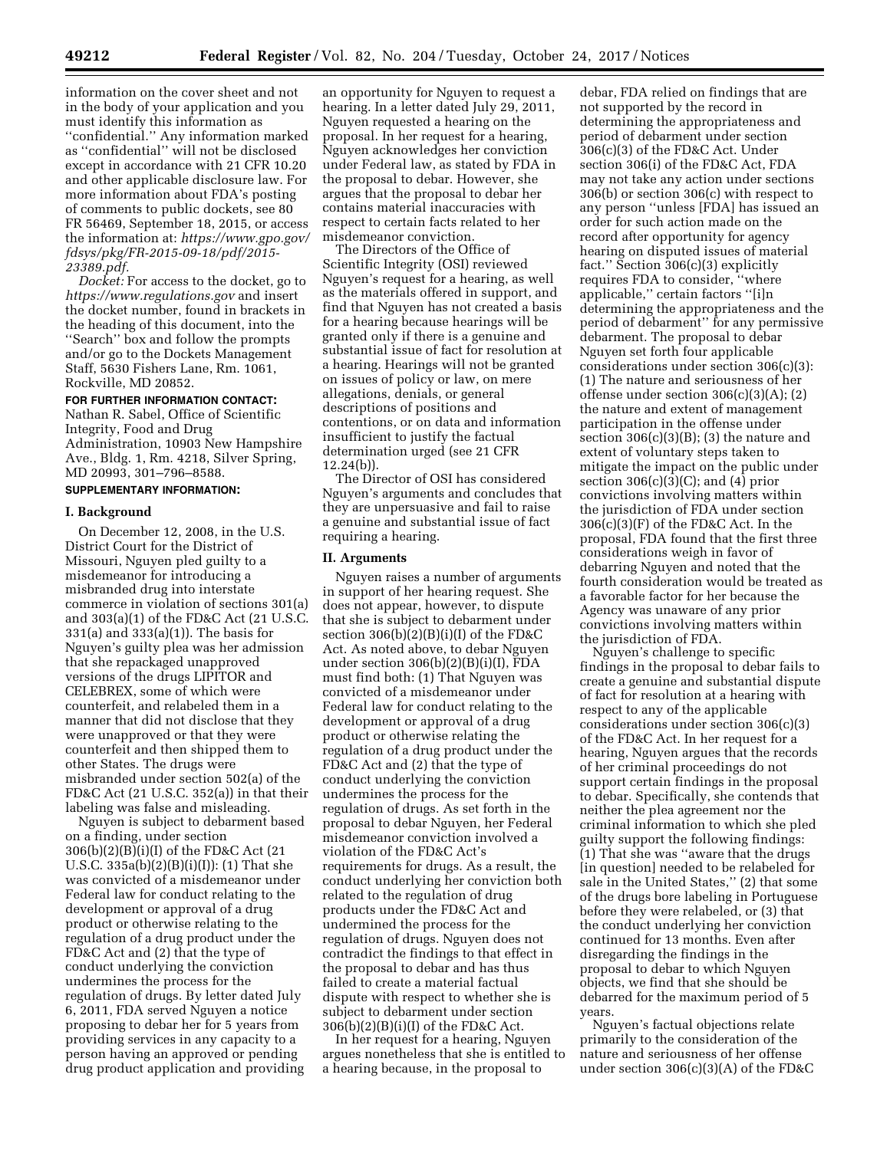information on the cover sheet and not in the body of your application and you must identify this information as ''confidential.'' Any information marked as ''confidential'' will not be disclosed except in accordance with 21 CFR 10.20 and other applicable disclosure law. For more information about FDA's posting of comments to public dockets, see 80 FR 56469, September 18, 2015, or access the information at: *[https://www.gpo.gov/](https://www.gpo.gov/fdsys/pkg/FR-2015-09-18/pdf/2015-23389.pdf) [fdsys/pkg/FR-2015-09-18/pdf/2015-](https://www.gpo.gov/fdsys/pkg/FR-2015-09-18/pdf/2015-23389.pdf)  [23389.pdf.](https://www.gpo.gov/fdsys/pkg/FR-2015-09-18/pdf/2015-23389.pdf)* 

*Docket:* For access to the docket, go to *<https://www.regulations.gov>* and insert the docket number, found in brackets in the heading of this document, into the ''Search'' box and follow the prompts and/or go to the Dockets Management Staff, 5630 Fishers Lane, Rm. 1061, Rockville, MD 20852.

#### **FOR FURTHER INFORMATION CONTACT:**

Nathan R. Sabel, Office of Scientific Integrity, Food and Drug Administration, 10903 New Hampshire Ave., Bldg. 1, Rm. 4218, Silver Spring, MD 20993, 301–796–8588.

# **SUPPLEMENTARY INFORMATION:**

#### **I. Background**

On December 12, 2008, in the U.S. District Court for the District of Missouri, Nguyen pled guilty to a misdemeanor for introducing a misbranded drug into interstate commerce in violation of sections 301(a) and 303(a)(1) of the FD&C Act (21 U.S.C. 331(a) and 333(a)(1)). The basis for Nguyen's guilty plea was her admission that she repackaged unapproved versions of the drugs LIPITOR and CELEBREX, some of which were counterfeit, and relabeled them in a manner that did not disclose that they were unapproved or that they were counterfeit and then shipped them to other States. The drugs were misbranded under section 502(a) of the FD&C Act (21 U.S.C. 352(a)) in that their labeling was false and misleading.

Nguyen is subject to debarment based on a finding, under section 306(b)(2)(B)(i)(I) of the FD&C Act (21 U.S.C. 335a(b)(2)(B)(i)(I)): (1) That she was convicted of a misdemeanor under Federal law for conduct relating to the development or approval of a drug product or otherwise relating to the regulation of a drug product under the FD&C Act and (2) that the type of conduct underlying the conviction undermines the process for the regulation of drugs. By letter dated July 6, 2011, FDA served Nguyen a notice proposing to debar her for 5 years from providing services in any capacity to a person having an approved or pending drug product application and providing

an opportunity for Nguyen to request a hearing. In a letter dated July 29, 2011, Nguyen requested a hearing on the proposal. In her request for a hearing, Nguyen acknowledges her conviction under Federal law, as stated by FDA in the proposal to debar. However, she argues that the proposal to debar her contains material inaccuracies with respect to certain facts related to her misdemeanor conviction.

The Directors of the Office of Scientific Integrity (OSI) reviewed Nguyen's request for a hearing, as well as the materials offered in support, and find that Nguyen has not created a basis for a hearing because hearings will be granted only if there is a genuine and substantial issue of fact for resolution at a hearing. Hearings will not be granted on issues of policy or law, on mere allegations, denials, or general descriptions of positions and contentions, or on data and information insufficient to justify the factual determination urged (see 21 CFR 12.24(b)).

The Director of OSI has considered Nguyen's arguments and concludes that they are unpersuasive and fail to raise a genuine and substantial issue of fact requiring a hearing.

#### **II. Arguments**

Nguyen raises a number of arguments in support of her hearing request. She does not appear, however, to dispute that she is subject to debarment under section 306(b)(2)(B)(i)(I) of the FD&C Act. As noted above, to debar Nguyen under section  $306(b)(2)(B)(i)(I)$ , FDA must find both: (1) That Nguyen was convicted of a misdemeanor under Federal law for conduct relating to the development or approval of a drug product or otherwise relating the regulation of a drug product under the FD&C Act and (2) that the type of conduct underlying the conviction undermines the process for the regulation of drugs. As set forth in the proposal to debar Nguyen, her Federal misdemeanor conviction involved a violation of the FD&C Act's requirements for drugs. As a result, the conduct underlying her conviction both related to the regulation of drug products under the FD&C Act and undermined the process for the regulation of drugs. Nguyen does not contradict the findings to that effect in the proposal to debar and has thus failed to create a material factual dispute with respect to whether she is subject to debarment under section 306(b)(2)(B)(i)(I) of the FD&C Act.

In her request for a hearing, Nguyen argues nonetheless that she is entitled to a hearing because, in the proposal to

debar, FDA relied on findings that are not supported by the record in determining the appropriateness and period of debarment under section 306(c)(3) of the FD&C Act. Under section 306(i) of the FD&C Act, FDA may not take any action under sections 306(b) or section 306(c) with respect to any person ''unless [FDA] has issued an order for such action made on the record after opportunity for agency hearing on disputed issues of material fact.'' Section 306(c)(3) explicitly requires FDA to consider, ''where applicable,'' certain factors ''[i]n determining the appropriateness and the period of debarment'' for any permissive debarment. The proposal to debar Nguyen set forth four applicable considerations under section 306(c)(3): (1) The nature and seriousness of her offense under section  $306(c)(3)(A)$ ; (2) the nature and extent of management participation in the offense under section  $306(c)(3)(B)$ ; (3) the nature and extent of voluntary steps taken to mitigate the impact on the public under section  $306(c)(3)(C)$ ; and  $(4)$  prior convictions involving matters within the jurisdiction of FDA under section 306(c)(3)(F) of the FD&C Act. In the proposal, FDA found that the first three considerations weigh in favor of debarring Nguyen and noted that the fourth consideration would be treated as a favorable factor for her because the Agency was unaware of any prior convictions involving matters within the jurisdiction of FDA.

Nguyen's challenge to specific findings in the proposal to debar fails to create a genuine and substantial dispute of fact for resolution at a hearing with respect to any of the applicable considerations under section 306(c)(3) of the FD&C Act. In her request for a hearing, Nguyen argues that the records of her criminal proceedings do not support certain findings in the proposal to debar. Specifically, she contends that neither the plea agreement nor the criminal information to which she pled guilty support the following findings: (1) That she was ''aware that the drugs [in question] needed to be relabeled for sale in the United States,'' (2) that some of the drugs bore labeling in Portuguese before they were relabeled, or (3) that the conduct underlying her conviction continued for 13 months. Even after disregarding the findings in the proposal to debar to which Nguyen objects, we find that she should be debarred for the maximum period of 5 years.

Nguyen's factual objections relate primarily to the consideration of the nature and seriousness of her offense under section 306(c)(3)(A) of the FD&C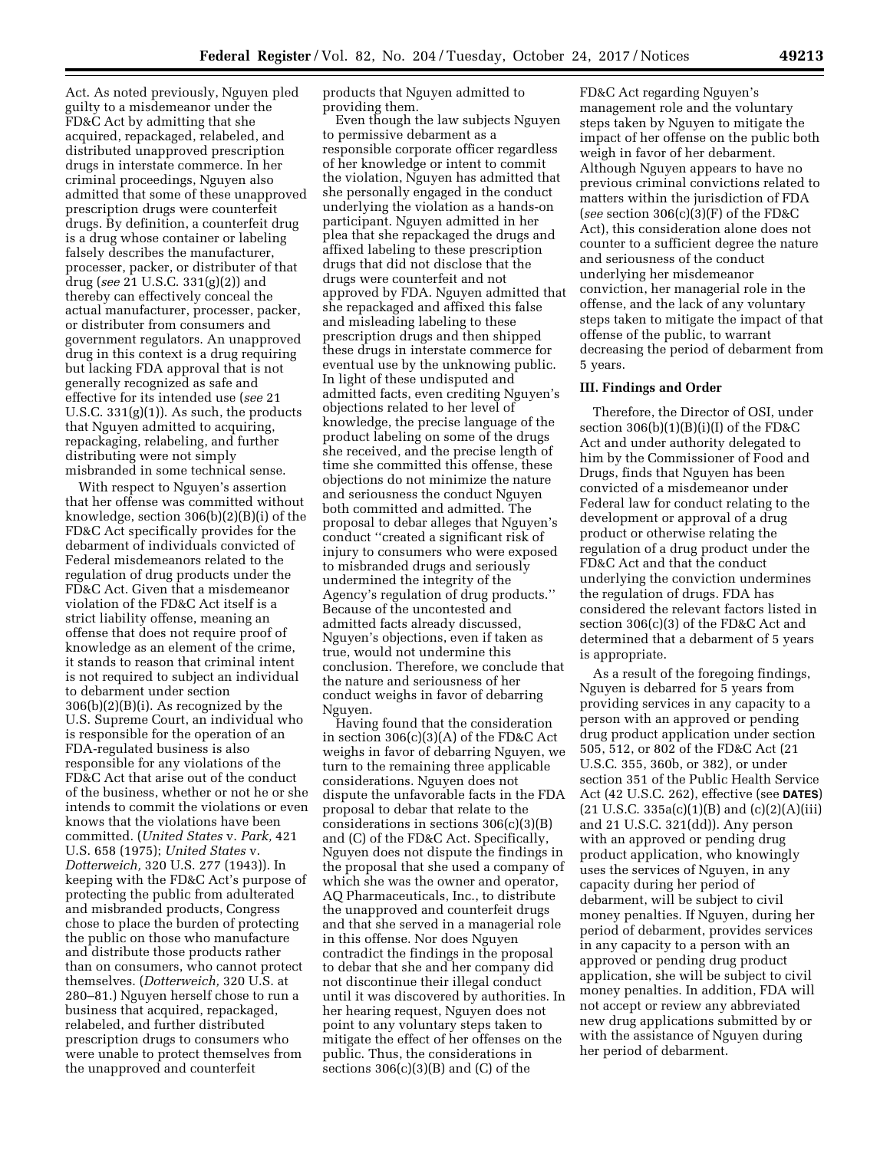Act. As noted previously, Nguyen pled guilty to a misdemeanor under the FD&C Act by admitting that she acquired, repackaged, relabeled, and distributed unapproved prescription drugs in interstate commerce. In her criminal proceedings, Nguyen also admitted that some of these unapproved prescription drugs were counterfeit drugs. By definition, a counterfeit drug is a drug whose container or labeling falsely describes the manufacturer, processer, packer, or distributer of that drug (*see* 21 U.S.C. 331(g)(2)) and thereby can effectively conceal the actual manufacturer, processer, packer, or distributer from consumers and government regulators. An unapproved drug in this context is a drug requiring but lacking FDA approval that is not generally recognized as safe and effective for its intended use (*see* 21 U.S.C. 331(g)(1)). As such, the products that Nguyen admitted to acquiring, repackaging, relabeling, and further distributing were not simply misbranded in some technical sense.

With respect to Nguyen's assertion that her offense was committed without knowledge, section 306(b)(2)(B)(i) of the FD&C Act specifically provides for the debarment of individuals convicted of Federal misdemeanors related to the regulation of drug products under the FD&C Act. Given that a misdemeanor violation of the FD&C Act itself is a strict liability offense, meaning an offense that does not require proof of knowledge as an element of the crime, it stands to reason that criminal intent is not required to subject an individual to debarment under section 306(b)(2)(B)(i). As recognized by the U.S. Supreme Court, an individual who is responsible for the operation of an FDA-regulated business is also responsible for any violations of the FD&C Act that arise out of the conduct of the business, whether or not he or she intends to commit the violations or even knows that the violations have been committed. (*United States* v. *Park,* 421 U.S. 658 (1975); *United States* v. *Dotterweich,* 320 U.S. 277 (1943)). In keeping with the FD&C Act's purpose of protecting the public from adulterated and misbranded products, Congress chose to place the burden of protecting the public on those who manufacture and distribute those products rather than on consumers, who cannot protect themselves. (*Dotterweich,* 320 U.S. at 280–81.) Nguyen herself chose to run a business that acquired, repackaged, relabeled, and further distributed prescription drugs to consumers who were unable to protect themselves from the unapproved and counterfeit

products that Nguyen admitted to providing them.

Even though the law subjects Nguyen to permissive debarment as a responsible corporate officer regardless of her knowledge or intent to commit the violation, Nguyen has admitted that she personally engaged in the conduct underlying the violation as a hands-on participant. Nguyen admitted in her plea that she repackaged the drugs and affixed labeling to these prescription drugs that did not disclose that the drugs were counterfeit and not approved by FDA. Nguyen admitted that she repackaged and affixed this false and misleading labeling to these prescription drugs and then shipped these drugs in interstate commerce for eventual use by the unknowing public. In light of these undisputed and admitted facts, even crediting Nguyen's objections related to her level of knowledge, the precise language of the product labeling on some of the drugs she received, and the precise length of time she committed this offense, these objections do not minimize the nature and seriousness the conduct Nguyen both committed and admitted. The proposal to debar alleges that Nguyen's conduct ''created a significant risk of injury to consumers who were exposed to misbranded drugs and seriously undermined the integrity of the Agency's regulation of drug products.'' Because of the uncontested and admitted facts already discussed, Nguyen's objections, even if taken as true, would not undermine this conclusion. Therefore, we conclude that the nature and seriousness of her conduct weighs in favor of debarring Nguyen.

Having found that the consideration in section 306(c)(3)(A) of the FD&C Act weighs in favor of debarring Nguyen, we turn to the remaining three applicable considerations. Nguyen does not dispute the unfavorable facts in the FDA proposal to debar that relate to the considerations in sections 306(c)(3)(B) and (C) of the FD&C Act. Specifically, Nguyen does not dispute the findings in the proposal that she used a company of which she was the owner and operator, AQ Pharmaceuticals, Inc., to distribute the unapproved and counterfeit drugs and that she served in a managerial role in this offense. Nor does Nguyen contradict the findings in the proposal to debar that she and her company did not discontinue their illegal conduct until it was discovered by authorities. In her hearing request, Nguyen does not point to any voluntary steps taken to mitigate the effect of her offenses on the public. Thus, the considerations in sections  $306(c)(3)(B)$  and  $(C)$  of the

FD&C Act regarding Nguyen's management role and the voluntary steps taken by Nguyen to mitigate the impact of her offense on the public both weigh in favor of her debarment. Although Nguyen appears to have no previous criminal convictions related to matters within the jurisdiction of FDA (*see* section 306(c)(3)(F) of the FD&C Act), this consideration alone does not counter to a sufficient degree the nature and seriousness of the conduct underlying her misdemeanor conviction, her managerial role in the offense, and the lack of any voluntary steps taken to mitigate the impact of that offense of the public, to warrant decreasing the period of debarment from 5 years.

### **III. Findings and Order**

Therefore, the Director of OSI, under section  $306(b)(1)(B)(i)(I)$  of the FD&C Act and under authority delegated to him by the Commissioner of Food and Drugs, finds that Nguyen has been convicted of a misdemeanor under Federal law for conduct relating to the development or approval of a drug product or otherwise relating the regulation of a drug product under the FD&C Act and that the conduct underlying the conviction undermines the regulation of drugs. FDA has considered the relevant factors listed in section 306(c)(3) of the FD&C Act and determined that a debarment of 5 years is appropriate.

As a result of the foregoing findings, Nguyen is debarred for 5 years from providing services in any capacity to a person with an approved or pending drug product application under section 505, 512, or 802 of the FD&C Act (21 U.S.C. 355, 360b, or 382), or under section 351 of the Public Health Service Act (42 U.S.C. 262), effective (see **DATES**)  $(21 \text{ U.S.C. } 335a(c)(1)(B) \text{ and } (c)(2)(A)(iii))$ and 21 U.S.C. 321(dd)). Any person with an approved or pending drug product application, who knowingly uses the services of Nguyen, in any capacity during her period of debarment, will be subject to civil money penalties. If Nguyen, during her period of debarment, provides services in any capacity to a person with an approved or pending drug product application, she will be subject to civil money penalties. In addition, FDA will not accept or review any abbreviated new drug applications submitted by or with the assistance of Nguyen during her period of debarment.